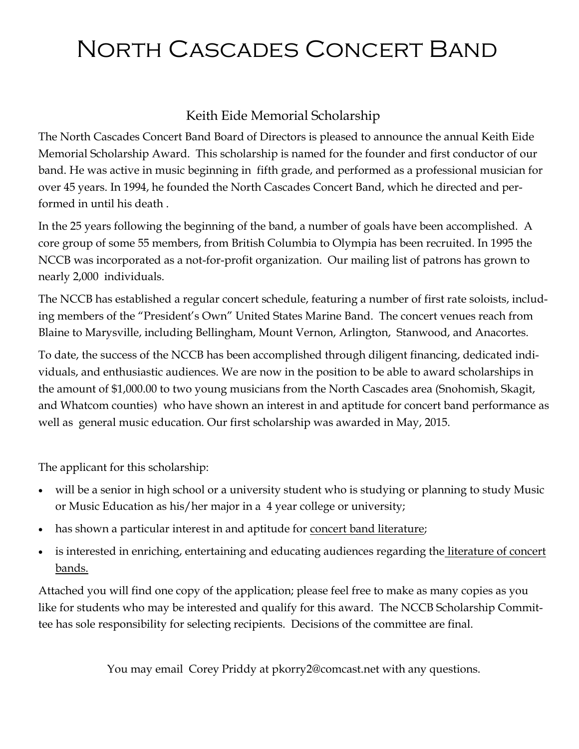### Keith Eide Memorial Scholarship

The North Cascades Concert Band Board of Directors is pleased to announce the annual Keith Eide Memorial Scholarship Award. This scholarship is named for the founder and first conductor of our band. He was active in music beginning in fifth grade, and performed as a professional musician for over 45 years. In 1994, he founded the North Cascades Concert Band, which he directed and performed in until his death .

In the 25 years following the beginning of the band, a number of goals have been accomplished. A core group of some 55 members, from British Columbia to Olympia has been recruited. In 1995 the NCCB was incorporated as a not-for-profit organization. Our mailing list of patrons has grown to nearly 2,000 individuals.

The NCCB has established a regular concert schedule, featuring a number of first rate soloists, including members of the "President's Own" United States Marine Band. The concert venues reach from Blaine to Marysville, including Bellingham, Mount Vernon, Arlington, Stanwood, and Anacortes.

To date, the success of the NCCB has been accomplished through diligent financing, dedicated individuals, and enthusiastic audiences. We are now in the position to be able to award scholarships in the amount of \$1,000.00 to two young musicians from the North Cascades area (Snohomish, Skagit, and Whatcom counties) who have shown an interest in and aptitude for concert band performance as well as general music education. Our first scholarship was awarded in May, 2015.

The applicant for this scholarship:

- will be a senior in high school or a university student who is studying or planning to study Music or Music Education as his/her major in a 4 year college or university;
- has shown a particular interest in and aptitude for <u>concert band literature</u>;
- is interested in enriching, entertaining and educating audiences regarding the literature of concert bands.

Attached you will find one copy of the application; please feel free to make as many copies as you like for students who may be interested and qualify for this award. The NCCB Scholarship Committee has sole responsibility for selecting recipients. Decisions of the committee are final.

You may email Corey Priddy at pkorry2@comcast.net with any questions.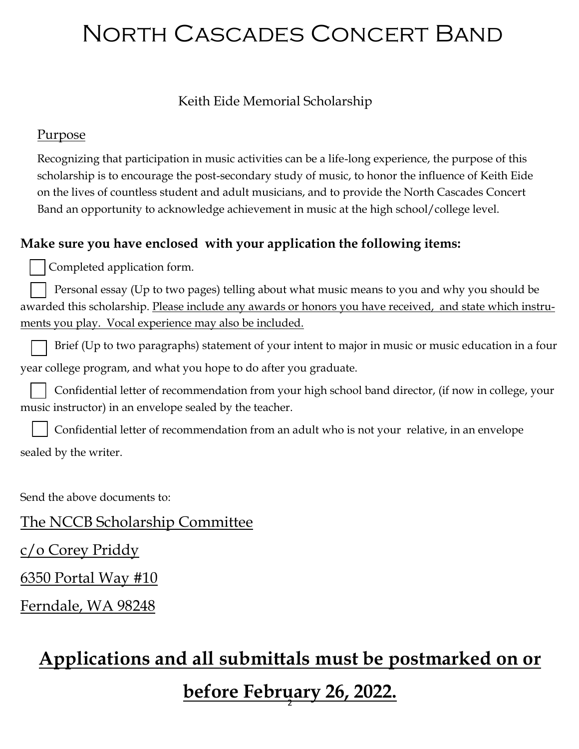#### Keith Eide Memorial Scholarship

#### Purpose

Recognizing that participation in music activities can be a life-long experience, the purpose of this scholarship is to encourage the post-secondary study of music, to honor the influence of Keith Eide on the lives of countless student and adult musicians, and to provide the North Cascades Concert Band an opportunity to acknowledge achievement in music at the high school/college level.

### **Make sure you have enclosed with your application the following items:**

Completed application form.

Personal essay (Up to two pages) telling about what music means to you and why you should be awarded this scholarship. Please include any awards or honors you have received, and state which instruments you play. Vocal experience may also be included.

Brief (Up to two paragraphs) statement of your intent to major in music or music education in a four year college program, and what you hope to do after you graduate.

Confidential letter of recommendation from your high school band director, (if now in college, your music instructor) in an envelope sealed by the teacher.

Confidential letter of recommendation from an adult who is not your relative, in an envelope sealed by the writer.

Send the above documents to:

The NCCB Scholarship Committee

c/o Corey Priddy

6350 Portal Way #10

Ferndale, WA 98248

## **Applications and all submittals must be postmarked on or**

2 **before February 26, 2022.**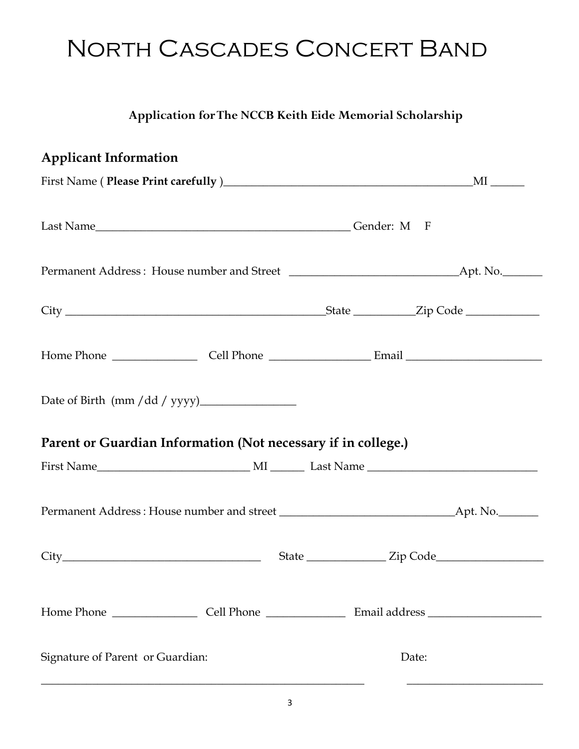## **Application for The NCCB Keith Eide Memorial Scholarship**

| <b>Applicant Information</b>                                  |                                                                                                                                                                                                                                                                                                                                                                                                                                                                                                                                                                                                                                                          |
|---------------------------------------------------------------|----------------------------------------------------------------------------------------------------------------------------------------------------------------------------------------------------------------------------------------------------------------------------------------------------------------------------------------------------------------------------------------------------------------------------------------------------------------------------------------------------------------------------------------------------------------------------------------------------------------------------------------------------------|
|                                                               | $\text{First Name (Please Print carefully)} \underline{\hspace{2cm}} \underline{\hspace{2cm}} \underline{\hspace{2cm}} \underline{\hspace{2cm}} \underline{\hspace{2cm}} \underline{\hspace{2cm}} \underline{\hspace{2cm}} \underline{\hspace{2cm}} \underline{\hspace{2cm}} \underline{\hspace{2cm}} \underline{\hspace{2cm}} \underline{\hspace{2cm}} \underline{\hspace{2cm}} \underline{\hspace{2cm}} \underline{\hspace{2cm}} \underline{\hspace{2cm}} \underline{\hspace{2cm}} \underline{\hspace{2cm}} \underline{\hspace{2cm}} \underline{\hspace{2cm}} \underline{\hspace{2cm}} \underline{\hspace{2cm}} \underline{\hspace{2cm}} \underline{\$ |
|                                                               |                                                                                                                                                                                                                                                                                                                                                                                                                                                                                                                                                                                                                                                          |
|                                                               |                                                                                                                                                                                                                                                                                                                                                                                                                                                                                                                                                                                                                                                          |
|                                                               |                                                                                                                                                                                                                                                                                                                                                                                                                                                                                                                                                                                                                                                          |
|                                                               |                                                                                                                                                                                                                                                                                                                                                                                                                                                                                                                                                                                                                                                          |
|                                                               |                                                                                                                                                                                                                                                                                                                                                                                                                                                                                                                                                                                                                                                          |
| Parent or Guardian Information (Not necessary if in college.) |                                                                                                                                                                                                                                                                                                                                                                                                                                                                                                                                                                                                                                                          |
|                                                               |                                                                                                                                                                                                                                                                                                                                                                                                                                                                                                                                                                                                                                                          |
|                                                               |                                                                                                                                                                                                                                                                                                                                                                                                                                                                                                                                                                                                                                                          |
|                                                               |                                                                                                                                                                                                                                                                                                                                                                                                                                                                                                                                                                                                                                                          |
|                                                               |                                                                                                                                                                                                                                                                                                                                                                                                                                                                                                                                                                                                                                                          |
| Signature of Parent or Guardian:                              | Date:                                                                                                                                                                                                                                                                                                                                                                                                                                                                                                                                                                                                                                                    |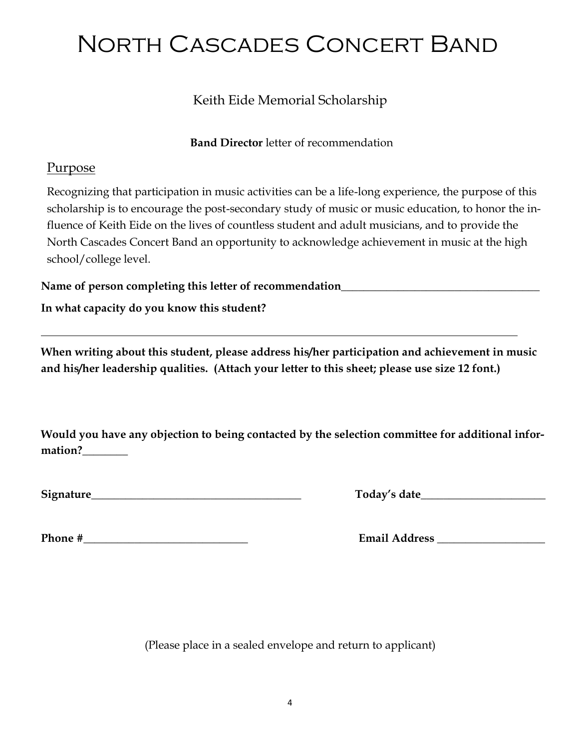## Keith Eide Memorial Scholarship

#### **Band Director** letter of recommendation

#### Purpose

Recognizing that participation in music activities can be a life-long experience, the purpose of this scholarship is to encourage the post-secondary study of music or music education, to honor the influence of Keith Eide on the lives of countless student and adult musicians, and to provide the North Cascades Concert Band an opportunity to acknowledge achievement in music at the high school/college level.

Name of person completing this letter of recommendation\_\_\_\_\_\_\_\_\_\_\_\_\_\_\_\_\_\_\_\_\_\_\_\_\_\_

**In what capacity do you know this student?**

**When writing about this student, please address his/her participation and achievement in music and his/her leadership qualities. (Attach your letter to this sheet; please use size 12 font.)**

**Would you have any objection to being contacted by the selection committee for additional information?\_\_\_\_\_\_\_\_**

| Signature | date :<br>.0022<br>wwa<br>____ |
|-----------|--------------------------------|
|           |                                |

| Today's date |  |
|--------------|--|
|              |  |

**Phone #** Email Address **Email Address** 

(Please place in a sealed envelope and return to applicant)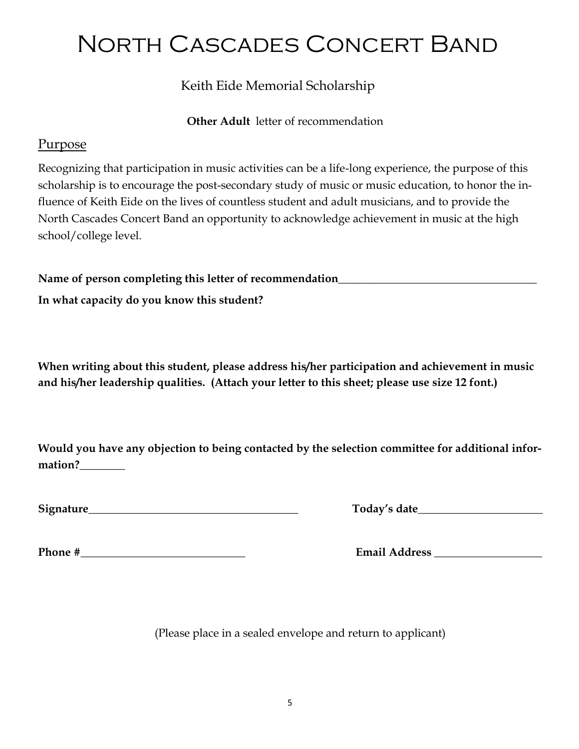Keith Eide Memorial Scholarship

**Other Adult** letter of recommendation

#### Purpose

Recognizing that participation in music activities can be a life-long experience, the purpose of this scholarship is to encourage the post-secondary study of music or music education, to honor the influence of Keith Eide on the lives of countless student and adult musicians, and to provide the North Cascades Concert Band an opportunity to acknowledge achievement in music at the high school/college level.

Name of person completing this letter of recommendation\_\_\_\_\_\_\_\_\_\_\_\_\_\_\_\_\_\_\_\_\_\_\_\_\_\_

**In what capacity do you know this student?**

**When writing about this student, please address his/her participation and achievement in music and his/her leadership qualities. (Attach your letter to this sheet; please use size 12 font.)**

**Would you have any objection to being contacted by the selection committee for additional information?\_\_\_\_\_\_\_\_**

**Signature** Today's date

**Phone #\_\_\_\_\_\_\_\_\_\_\_\_\_\_\_\_\_\_\_\_\_\_\_\_\_\_\_\_\_ Email Address \_\_\_\_\_\_\_\_\_\_\_\_\_\_\_\_\_\_\_**

(Please place in a sealed envelope and return to applicant)